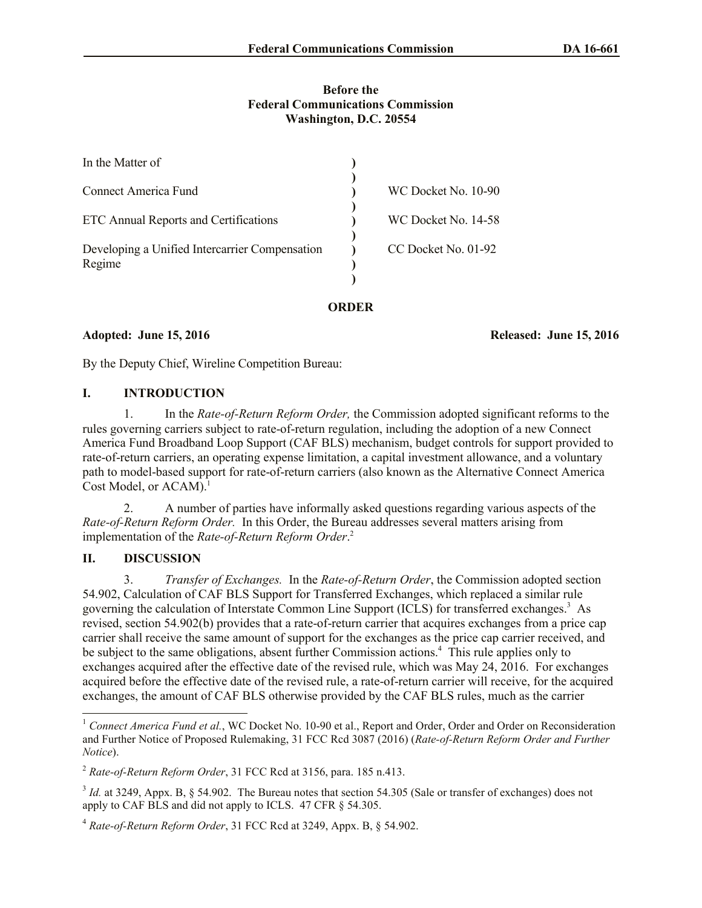#### **Before the Federal Communications Commission Washington, D.C. 20554**

| In the Matter of                                         |                     |
|----------------------------------------------------------|---------------------|
| <b>Connect America Fund</b>                              | WC Docket No. 10-90 |
| ETC Annual Reports and Certifications                    | WC Docket No. 14-58 |
| Developing a Unified Intercarrier Compensation<br>Regime | CC Docket No. 01-92 |

**ORDER**

**Adopted: June 15, 2016 Released: June 15, 2016**

By the Deputy Chief, Wireline Competition Bureau:

#### **I. INTRODUCTION**

1. In the *Rate-of-Return Reform Order,* the Commission adopted significant reforms to the rules governing carriers subject to rate-of-return regulation, including the adoption of a new Connect America Fund Broadband Loop Support (CAF BLS) mechanism, budget controls for support provided to rate-of-return carriers, an operating expense limitation, a capital investment allowance, and a voluntary path to model-based support for rate-of-return carriers (also known as the Alternative Connect America Cost Model, or  $ACAM$ .<sup>1</sup>

2. A number of parties have informally asked questions regarding various aspects of the *Rate-of-Return Reform Order.* In this Order, the Bureau addresses several matters arising from implementation of the *Rate-of-Return Reform Order*. 2

# **II. DISCUSSION**

3. *Transfer of Exchanges.* In the *Rate-of-Return Order*, the Commission adopted section 54.902, Calculation of CAF BLS Support for Transferred Exchanges, which replaced a similar rule governing the calculation of Interstate Common Line Support (ICLS) for transferred exchanges.<sup>3</sup> As revised, section 54.902(b) provides that a rate-of-return carrier that acquires exchanges from a price cap carrier shall receive the same amount of support for the exchanges as the price cap carrier received, and be subject to the same obligations, absent further Commission actions.<sup>4</sup> This rule applies only to exchanges acquired after the effective date of the revised rule, which was May 24, 2016. For exchanges acquired before the effective date of the revised rule, a rate-of-return carrier will receive, for the acquired exchanges, the amount of CAF BLS otherwise provided by the CAF BLS rules, much as the carrier

l <sup>1</sup> *Connect America Fund et al.*, WC Docket No. 10-90 et al., Report and Order, Order and Order on Reconsideration and Further Notice of Proposed Rulemaking, 31 FCC Rcd 3087 (2016) (*Rate-of-Return Reform Order and Further Notice*).

<sup>2</sup> *Rate-of-Return Reform Order*, 31 FCC Rcd at 3156, para. 185 n.413.

<sup>&</sup>lt;sup>3</sup> *Id.* at 3249, Appx. B, § 54.902. The Bureau notes that section 54.305 (Sale or transfer of exchanges) does not apply to CAF BLS and did not apply to ICLS. 47 CFR § 54.305.

<sup>4</sup> *Rate-of-Return Reform Order*, 31 FCC Rcd at 3249, Appx. B, § 54.902.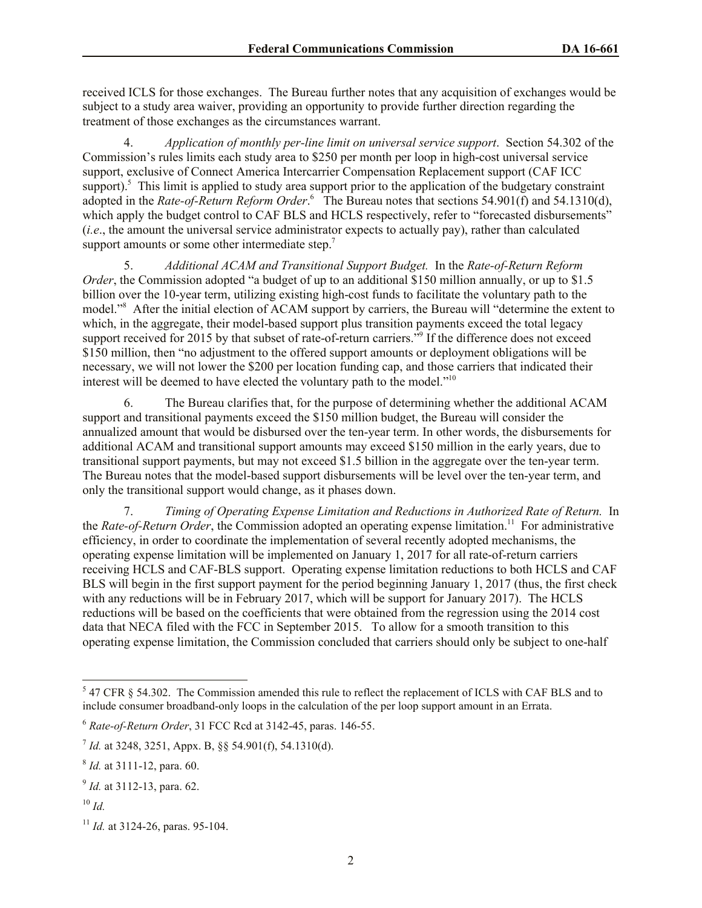received ICLS for those exchanges. The Bureau further notes that any acquisition of exchanges would be subject to a study area waiver, providing an opportunity to provide further direction regarding the treatment of those exchanges as the circumstances warrant.

4. *Application of monthly per-line limit on universal service support*. Section 54.302 of the Commission's rules limits each study area to \$250 per month per loop in high-cost universal service support, exclusive of Connect America Intercarrier Compensation Replacement support (CAF ICC support).<sup>5</sup> This limit is applied to study area support prior to the application of the budgetary constraint adopted in the *Rate-of-Return Reform Order*. 6 The Bureau notes that sections 54.901(f) and 54.1310(d), which apply the budget control to CAF BLS and HCLS respectively, refer to "forecasted disbursements" (*i.e*., the amount the universal service administrator expects to actually pay), rather than calculated support amounts or some other intermediate step. $<sup>7</sup>$ </sup>

5. *Additional ACAM and Transitional Support Budget.* In the *Rate-of-Return Reform Order*, the Commission adopted "a budget of up to an additional \$150 million annually, or up to \$1.5 billion over the 10-year term, utilizing existing high-cost funds to facilitate the voluntary path to the model."<sup>8</sup> After the initial election of ACAM support by carriers, the Bureau will "determine the extent to which, in the aggregate, their model-based support plus transition payments exceed the total legacy support received for 2015 by that subset of rate-of-return carriers."<sup>9</sup> If the difference does not exceed \$150 million, then "no adjustment to the offered support amounts or deployment obligations will be necessary, we will not lower the \$200 per location funding cap, and those carriers that indicated their interest will be deemed to have elected the voluntary path to the model."<sup>10</sup>

6. The Bureau clarifies that, for the purpose of determining whether the additional ACAM support and transitional payments exceed the \$150 million budget, the Bureau will consider the annualized amount that would be disbursed over the ten-year term. In other words, the disbursements for additional ACAM and transitional support amounts may exceed \$150 million in the early years, due to transitional support payments, but may not exceed \$1.5 billion in the aggregate over the ten-year term. The Bureau notes that the model-based support disbursements will be level over the ten-year term, and only the transitional support would change, as it phases down.

7. *Timing of Operating Expense Limitation and Reductions in Authorized Rate of Return.* In the *Rate-of-Return Order*, the Commission adopted an operating expense limitation.<sup>11</sup> For administrative efficiency, in order to coordinate the implementation of several recently adopted mechanisms, the operating expense limitation will be implemented on January 1, 2017 for all rate-of-return carriers receiving HCLS and CAF-BLS support. Operating expense limitation reductions to both HCLS and CAF BLS will begin in the first support payment for the period beginning January 1, 2017 (thus, the first check with any reductions will be in February 2017, which will be support for January 2017). The HCLS reductions will be based on the coefficients that were obtained from the regression using the 2014 cost data that NECA filed with the FCC in September 2015. To allow for a smooth transition to this operating expense limitation, the Commission concluded that carriers should only be subject to one-half

l

 $5$  47 CFR  $\S$  54.302. The Commission amended this rule to reflect the replacement of ICLS with CAF BLS and to include consumer broadband-only loops in the calculation of the per loop support amount in an Errata.

<sup>6</sup> *Rate-of-Return Order*, 31 FCC Rcd at 3142-45, paras. 146-55.

<sup>7</sup> *Id.* at 3248, 3251, Appx. B, §§ 54.901(f), 54.1310(d).

<sup>8</sup> *Id.* at 3111-12, para. 60.

<sup>9</sup> *Id.* at 3112-13, para. 62.

<sup>10</sup> *Id.*

<sup>11</sup> *Id.* at 3124-26, paras. 95-104.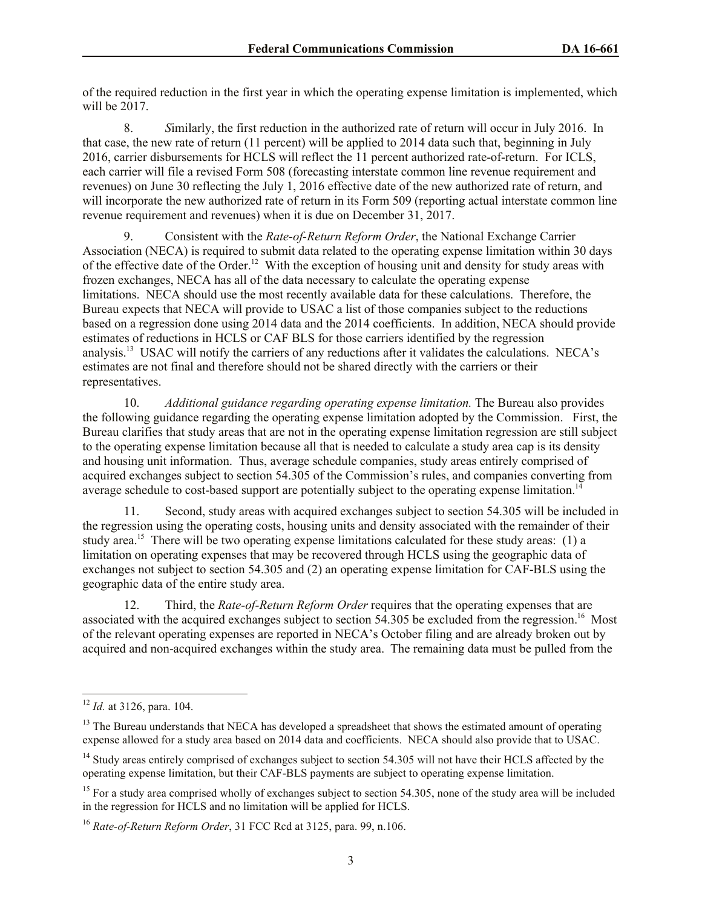of the required reduction in the first year in which the operating expense limitation is implemented, which will be 2017.

8. *S*imilarly, the first reduction in the authorized rate of return will occur in July 2016. In that case, the new rate of return (11 percent) will be applied to 2014 data such that, beginning in July 2016, carrier disbursements for HCLS will reflect the 11 percent authorized rate-of-return. For ICLS, each carrier will file a revised Form 508 (forecasting interstate common line revenue requirement and revenues) on June 30 reflecting the July 1, 2016 effective date of the new authorized rate of return, and will incorporate the new authorized rate of return in its Form 509 (reporting actual interstate common line revenue requirement and revenues) when it is due on December 31, 2017.

9. Consistent with the *Rate-of-Return Reform Order*, the National Exchange Carrier Association (NECA) is required to submit data related to the operating expense limitation within 30 days of the effective date of the Order.<sup>12</sup> With the exception of housing unit and density for study areas with frozen exchanges, NECA has all of the data necessary to calculate the operating expense limitations. NECA should use the most recently available data for these calculations. Therefore, the Bureau expects that NECA will provide to USAC a list of those companies subject to the reductions based on a regression done using 2014 data and the 2014 coefficients. In addition, NECA should provide estimates of reductions in HCLS or CAF BLS for those carriers identified by the regression analysis.<sup>13</sup> USAC will notify the carriers of any reductions after it validates the calculations. NECA's estimates are not final and therefore should not be shared directly with the carriers or their representatives.

10. *Additional guidance regarding operating expense limitation.* The Bureau also provides the following guidance regarding the operating expense limitation adopted by the Commission. First, the Bureau clarifies that study areas that are not in the operating expense limitation regression are still subject to the operating expense limitation because all that is needed to calculate a study area cap is its density and housing unit information. Thus, average schedule companies, study areas entirely comprised of acquired exchanges subject to section 54.305 of the Commission's rules, and companies converting from average schedule to cost-based support are potentially subject to the operating expense limitation.<sup>1</sup>

11. Second, study areas with acquired exchanges subject to section 54.305 will be included in the regression using the operating costs, housing units and density associated with the remainder of their study area.<sup>15</sup> There will be two operating expense limitations calculated for these study areas: (1) a limitation on operating expenses that may be recovered through HCLS using the geographic data of exchanges not subject to section 54.305 and (2) an operating expense limitation for CAF-BLS using the geographic data of the entire study area.

12. Third, the *Rate-of-Return Reform Order* requires that the operating expenses that are associated with the acquired exchanges subject to section 54.305 be excluded from the regression.<sup>16</sup> Most of the relevant operating expenses are reported in NECA's October filing and are already broken out by acquired and non-acquired exchanges within the study area. The remaining data must be pulled from the

l

<sup>12</sup> *Id.* at 3126, para. 104.

<sup>&</sup>lt;sup>13</sup> The Bureau understands that NECA has developed a spreadsheet that shows the estimated amount of operating expense allowed for a study area based on 2014 data and coefficients. NECA should also provide that to USAC.

<sup>&</sup>lt;sup>14</sup> Study areas entirely comprised of exchanges subject to section 54.305 will not have their HCLS affected by the operating expense limitation, but their CAF-BLS payments are subject to operating expense limitation.

 $15$  For a study area comprised wholly of exchanges subject to section 54.305, none of the study area will be included in the regression for HCLS and no limitation will be applied for HCLS.

<sup>16</sup> *Rate-of-Return Reform Order*, 31 FCC Rcd at 3125, para. 99, n.106.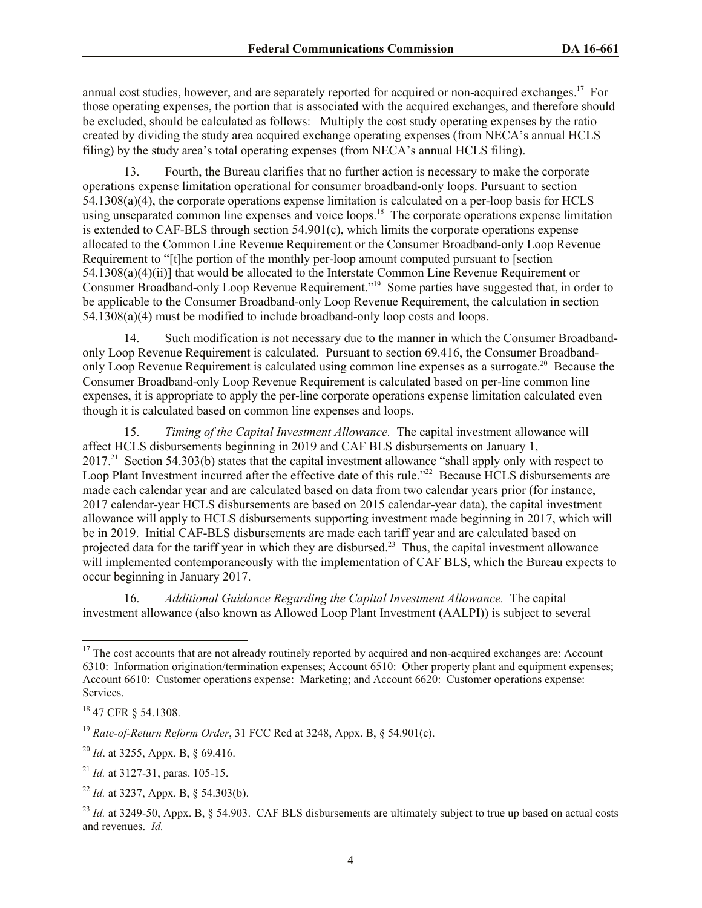annual cost studies, however, and are separately reported for acquired or non-acquired exchanges.<sup>17</sup> For those operating expenses, the portion that is associated with the acquired exchanges, and therefore should be excluded, should be calculated as follows: Multiply the cost study operating expenses by the ratio created by dividing the study area acquired exchange operating expenses (from NECA's annual HCLS filing) by the study area's total operating expenses (from NECA's annual HCLS filing).

13. Fourth, the Bureau clarifies that no further action is necessary to make the corporate operations expense limitation operational for consumer broadband-only loops. Pursuant to section 54.1308(a)(4), the corporate operations expense limitation is calculated on a per-loop basis for HCLS using unseparated common line expenses and voice loops.<sup>18</sup> The corporate operations expense limitation is extended to CAF-BLS through section 54.901(c), which limits the corporate operations expense allocated to the Common Line Revenue Requirement or the Consumer Broadband-only Loop Revenue Requirement to "[t]he portion of the monthly per-loop amount computed pursuant to [section 54.1308(a)(4)(ii)] that would be allocated to the Interstate Common Line Revenue Requirement or Consumer Broadband-only Loop Revenue Requirement."<sup>19</sup> Some parties have suggested that, in order to be applicable to the Consumer Broadband-only Loop Revenue Requirement, the calculation in section 54.1308(a)(4) must be modified to include broadband-only loop costs and loops.

14. Such modification is not necessary due to the manner in which the Consumer Broadbandonly Loop Revenue Requirement is calculated. Pursuant to section 69.416, the Consumer Broadbandonly Loop Revenue Requirement is calculated using common line expenses as a surrogate.<sup>20</sup> Because the Consumer Broadband-only Loop Revenue Requirement is calculated based on per-line common line expenses, it is appropriate to apply the per-line corporate operations expense limitation calculated even though it is calculated based on common line expenses and loops.

15. *Timing of the Capital Investment Allowance.* The capital investment allowance will affect HCLS disbursements beginning in 2019 and CAF BLS disbursements on January 1, 2017<sup>21</sup> Section 54.303(b) states that the capital investment allowance "shall apply only with respect to Loop Plant Investment incurred after the effective date of this rule."<sup>22</sup> Because HCLS disbursements are made each calendar year and are calculated based on data from two calendar years prior (for instance, 2017 calendar-year HCLS disbursements are based on 2015 calendar-year data), the capital investment allowance will apply to HCLS disbursements supporting investment made beginning in 2017, which will be in 2019. Initial CAF-BLS disbursements are made each tariff year and are calculated based on projected data for the tariff year in which they are disbursed.<sup>23</sup> Thus, the capital investment allowance will implemented contemporaneously with the implementation of CAF BLS, which the Bureau expects to occur beginning in January 2017.

16. *Additional Guidance Regarding the Capital Investment Allowance.* The capital investment allowance (also known as Allowed Loop Plant Investment (AALPI)) is subject to several

l

 $17$  The cost accounts that are not already routinely reported by acquired and non-acquired exchanges are: Account 6310: Information origination/termination expenses; Account 6510: Other property plant and equipment expenses; Account 6610: Customer operations expense: Marketing; and Account 6620: Customer operations expense: Services.

<sup>18</sup> 47 CFR § 54.1308.

<sup>19</sup> *Rate-of-Return Reform Order*, 31 FCC Rcd at 3248, Appx. B, § 54.901(c).

<sup>20</sup> *Id*. at 3255, Appx. B, § 69.416.

<sup>21</sup> *Id.* at 3127-31, paras. 105-15.

<sup>22</sup> *Id.* at 3237, Appx. B, § 54.303(b).

 $^{23}$  *Id.* at 3249-50, Appx. B,  $\frac{6}{5}$  54.903. CAF BLS disbursements are ultimately subject to true up based on actual costs and revenues. *Id.*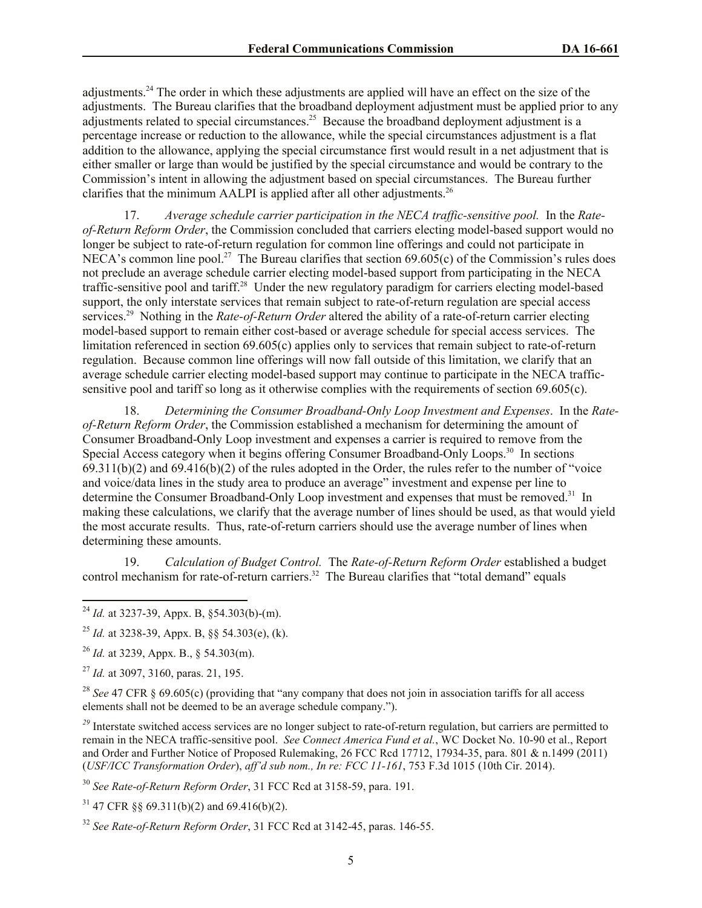adjustments.<sup>24</sup> The order in which these adjustments are applied will have an effect on the size of the adjustments. The Bureau clarifies that the broadband deployment adjustment must be applied prior to any adjustments related to special circumstances.<sup>25</sup> Because the broadband deployment adjustment is a percentage increase or reduction to the allowance, while the special circumstances adjustment is a flat addition to the allowance, applying the special circumstance first would result in a net adjustment that is either smaller or large than would be justified by the special circumstance and would be contrary to the Commission's intent in allowing the adjustment based on special circumstances. The Bureau further clarifies that the minimum AALPI is applied after all other adjustments.<sup>26</sup>

17. *Average schedule carrier participation in the NECA traffic-sensitive pool.* In the *Rateof-Return Reform Order*, the Commission concluded that carriers electing model-based support would no longer be subject to rate-of-return regulation for common line offerings and could not participate in NECA's common line pool.<sup>27</sup> The Bureau clarifies that section  $69.605(c)$  of the Commission's rules does not preclude an average schedule carrier electing model-based support from participating in the NECA traffic-sensitive pool and tariff.<sup>28</sup> Under the new regulatory paradigm for carriers electing model-based support, the only interstate services that remain subject to rate-of-return regulation are special access services.<sup>29</sup> Nothing in the *Rate-of-Return Order* altered the ability of a rate-of-return carrier electing model-based support to remain either cost-based or average schedule for special access services. The limitation referenced in section 69.605(c) applies only to services that remain subject to rate-of-return regulation. Because common line offerings will now fall outside of this limitation, we clarify that an average schedule carrier electing model-based support may continue to participate in the NECA trafficsensitive pool and tariff so long as it otherwise complies with the requirements of section 69.605(c).

18. *Determining the Consumer Broadband-Only Loop Investment and Expenses*. In the *Rateof-Return Reform Order*, the Commission established a mechanism for determining the amount of Consumer Broadband-Only Loop investment and expenses a carrier is required to remove from the Special Access category when it begins offering Consumer Broadband-Only Loops.<sup>30</sup> In sections  $69.311(b)(2)$  and  $69.416(b)(2)$  of the rules adopted in the Order, the rules refer to the number of "voice" and voice/data lines in the study area to produce an average" investment and expense per line to determine the Consumer Broadband-Only Loop investment and expenses that must be removed.<sup>31</sup> In making these calculations, we clarify that the average number of lines should be used, as that would yield the most accurate results. Thus, rate-of-return carriers should use the average number of lines when determining these amounts.

19. *Calculation of Budget Control.* The *Rate-of-Return Reform Order* established a budget control mechanism for rate-of-return carriers.<sup>32</sup> The Bureau clarifies that "total demand" equals

l

<sup>28</sup> *See* 47 CFR § 69.605(c) (providing that "any company that does not join in association tariffs for all access elements shall not be deemed to be an average schedule company.").

<sup>29</sup> Interstate switched access services are no longer subject to rate-of-return regulation, but carriers are permitted to remain in the NECA traffic-sensitive pool. *See Connect America Fund et al.*, WC Docket No. 10-90 et al., Report and Order and Further Notice of Proposed Rulemaking, 26 FCC Rcd 17712, 17934-35, para. 801 & n.1499 (2011) (*USF/ICC Transformation Order*), *aff'd sub nom., In re: FCC 11-161*, 753 F.3d 1015 (10th Cir. 2014).

<sup>30</sup> *See Rate-of-Return Reform Order*, 31 FCC Rcd at 3158-59, para. 191.

 $31$  47 CFR §§ 69.311(b)(2) and 69.416(b)(2).

<sup>24</sup> *Id.* at 3237-39, Appx. B, §54.303(b)-(m).

<sup>25</sup> *Id.* at 3238-39, Appx. B, §§ 54.303(e), (k).

<sup>26</sup> *Id.* at 3239, Appx. B., § 54.303(m).

<sup>27</sup> *Id.* at 3097, 3160, paras. 21, 195.

<sup>32</sup> *See Rate-of-Return Reform Order*, 31 FCC Rcd at 3142-45, paras. 146-55.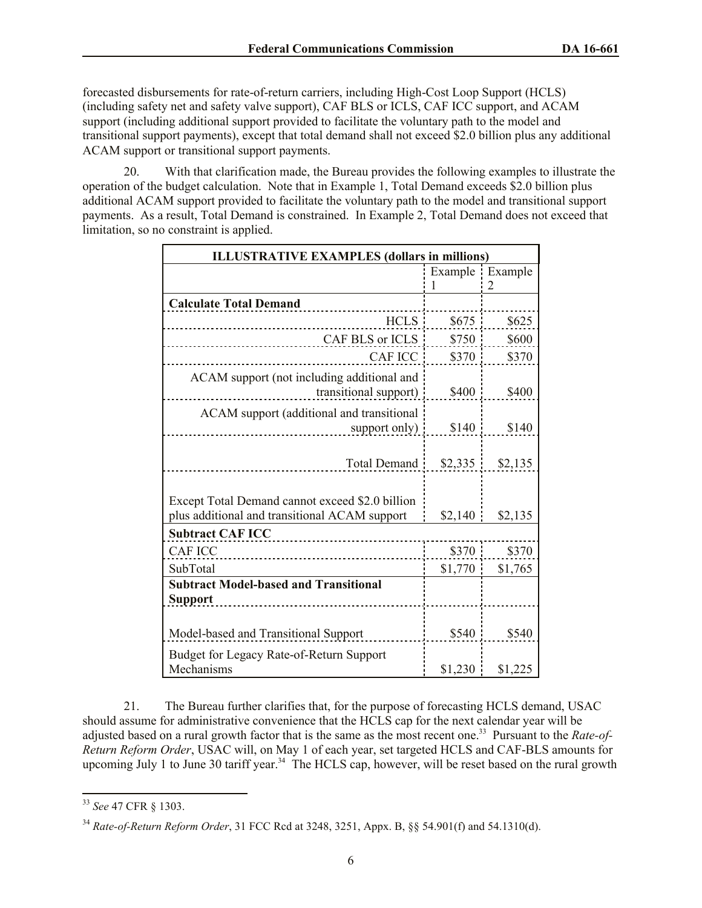forecasted disbursements for rate-of-return carriers, including High-Cost Loop Support (HCLS) (including safety net and safety valve support), CAF BLS or ICLS, CAF ICC support, and ACAM support (including additional support provided to facilitate the voluntary path to the model and transitional support payments), except that total demand shall not exceed \$2.0 billion plus any additional ACAM support or transitional support payments.

20. With that clarification made, the Bureau provides the following examples to illustrate the operation of the budget calculation. Note that in Example 1, Total Demand exceeds \$2.0 billion plus additional ACAM support provided to facilitate the voluntary path to the model and transitional support payments. As a result, Total Demand is constrained. In Example 2, Total Demand does not exceed that limitation, so no constraint is applied.

| <b>ILLUSTRATIVE EXAMPLES (dollars in millions)</b> |         |                 |  |
|----------------------------------------------------|---------|-----------------|--|
|                                                    |         | Example Example |  |
|                                                    | 1       | 2               |  |
| <b>Calculate Total Demand</b>                      |         |                 |  |
| HCLS !                                             | \$675   | \$625           |  |
| CAF BLS or ICLS                                    | \$750   | \$600           |  |
| <b>CAF ICC</b>                                     | \$370   | \$370           |  |
| ACAM support (not including additional and         |         |                 |  |
| transitional support)                              | \$400   | \$400           |  |
| ACAM support (additional and transitional          |         |                 |  |
| support only)                                      | \$140   | \$140           |  |
|                                                    |         |                 |  |
| Total Demand                                       | \$2,335 | \$2,135         |  |
|                                                    |         |                 |  |
| Except Total Demand cannot exceed \$2.0 billion    |         |                 |  |
| plus additional and transitional ACAM support      | \$2,140 | \$2,135         |  |
| <b>Subtract CAF ICC</b>                            |         |                 |  |
| <b>CAF ICC</b>                                     | \$370   | \$370           |  |
| SubTotal                                           | \$1,770 | \$1,765         |  |
| <b>Subtract Model-based and Transitional</b>       |         |                 |  |
| <b>Support</b>                                     |         |                 |  |
|                                                    |         |                 |  |
| Model-based and Transitional Support               | \$540   | \$540           |  |
| Budget for Legacy Rate-of-Return Support           |         |                 |  |
| Mechanisms                                         | \$1,230 | \$1,225         |  |

21. The Bureau further clarifies that, for the purpose of forecasting HCLS demand, USAC should assume for administrative convenience that the HCLS cap for the next calendar year will be adjusted based on a rural growth factor that is the same as the most recent one.<sup>33</sup> Pursuant to the *Rate-of-Return Reform Order*, USAC will, on May 1 of each year, set targeted HCLS and CAF-BLS amounts for upcoming July 1 to June 30 tariff year.<sup>34</sup> The HCLS cap, however, will be reset based on the rural growth

l <sup>33</sup> *See* 47 CFR § 1303.

<sup>34</sup> *Rate-of-Return Reform Order*, 31 FCC Rcd at 3248, 3251, Appx. B, §§ 54.901(f) and 54.1310(d).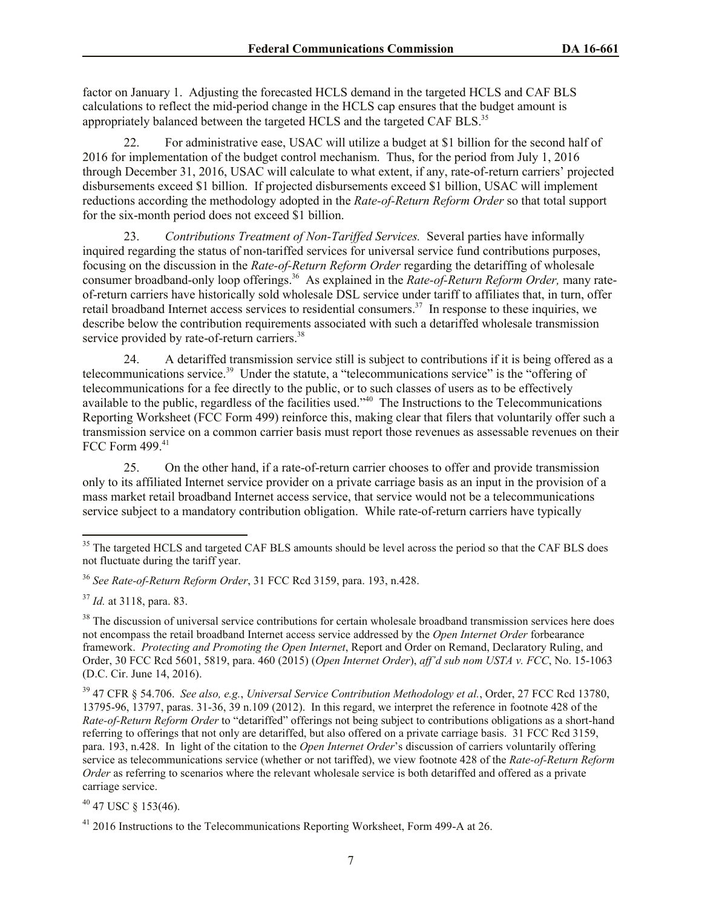factor on January 1. Adjusting the forecasted HCLS demand in the targeted HCLS and CAF BLS calculations to reflect the mid-period change in the HCLS cap ensures that the budget amount is appropriately balanced between the targeted HCLS and the targeted CAF BLS.<sup>35</sup>

22. For administrative ease, USAC will utilize a budget at \$1 billion for the second half of 2016 for implementation of the budget control mechanism. Thus, for the period from July 1, 2016 through December 31, 2016, USAC will calculate to what extent, if any, rate-of-return carriers' projected disbursements exceed \$1 billion. If projected disbursements exceed \$1 billion, USAC will implement reductions according the methodology adopted in the *Rate-of-Return Reform Order* so that total support for the six-month period does not exceed \$1 billion.

23. *Contributions Treatment of Non-Tariffed Services.* Several parties have informally inquired regarding the status of non-tariffed services for universal service fund contributions purposes, focusing on the discussion in the *Rate-of-Return Reform Order* regarding the detariffing of wholesale consumer broadband-only loop offerings.<sup>36</sup> As explained in the *Rate-of-Return Reform Order*, many rateof-return carriers have historically sold wholesale DSL service under tariff to affiliates that, in turn, offer retail broadband Internet access services to residential consumers.<sup>37</sup> In response to these inquiries, we describe below the contribution requirements associated with such a detariffed wholesale transmission service provided by rate-of-return carriers.<sup>38</sup>

24. A detariffed transmission service still is subject to contributions if it is being offered as a telecommunications service.<sup>39</sup> Under the statute, a "telecommunications service" is the "offering of telecommunications for a fee directly to the public, or to such classes of users as to be effectively available to the public, regardless of the facilities used.<sup>340</sup> The Instructions to the Telecommunications Reporting Worksheet (FCC Form 499) reinforce this, making clear that filers that voluntarily offer such a transmission service on a common carrier basis must report those revenues as assessable revenues on their FCC Form 499.<sup>41</sup>

25. On the other hand, if a rate-of-return carrier chooses to offer and provide transmission only to its affiliated Internet service provider on a private carriage basis as an input in the provision of a mass market retail broadband Internet access service, that service would not be a telecommunications service subject to a mandatory contribution obligation. While rate-of-return carriers have typically

l

 $40$  47 USC § 153(46).

<sup>&</sup>lt;sup>35</sup> The targeted HCLS and targeted CAF BLS amounts should be level across the period so that the CAF BLS does not fluctuate during the tariff year.

<sup>36</sup> *See Rate-of-Return Reform Order*, 31 FCC Rcd 3159, para. 193, n.428.

<sup>37</sup> *Id.* at 3118, para. 83.

<sup>&</sup>lt;sup>38</sup> The discussion of universal service contributions for certain wholesale broadband transmission services here does not encompass the retail broadband Internet access service addressed by the *Open Internet Order* forbearance framework. *Protecting and Promoting the Open Internet*, Report and Order on Remand, Declaratory Ruling, and Order, 30 FCC Rcd 5601, 5819, para. 460 (2015) (*Open Internet Order*), *aff'd sub nom USTA v. FCC*, No. 15-1063 (D.C. Cir. June 14, 2016).

<sup>39</sup> 47 CFR § 54.706. *See also, e.g.*, *Universal Service Contribution Methodology et al.*, Order, 27 FCC Rcd 13780, 13795-96, 13797, paras. 31-36, 39 n.109 (2012). In this regard, we interpret the reference in footnote 428 of the *Rate-of-Return Reform Order* to "detariffed" offerings not being subject to contributions obligations as a short-hand referring to offerings that not only are detariffed, but also offered on a private carriage basis. 31 FCC Rcd 3159, para. 193, n.428. In light of the citation to the *Open Internet Order*'s discussion of carriers voluntarily offering service as telecommunications service (whether or not tariffed), we view footnote 428 of the *Rate-of-Return Reform Order* as referring to scenarios where the relevant wholesale service is both detariffed and offered as a private carriage service.

<sup>&</sup>lt;sup>41</sup> 2016 Instructions to the Telecommunications Reporting Worksheet, Form 499-A at 26.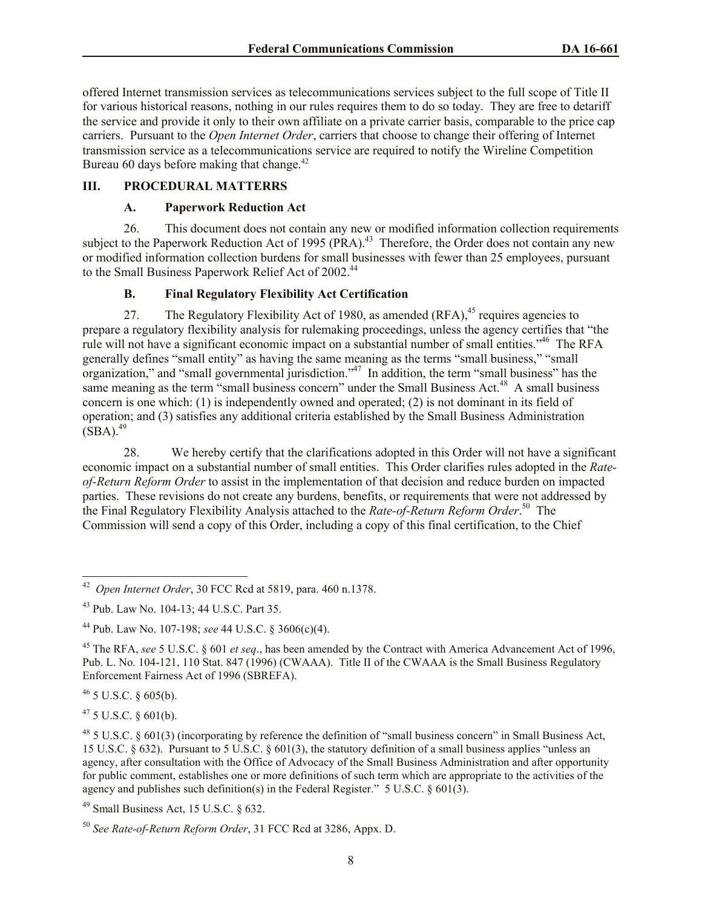offered Internet transmission services as telecommunications services subject to the full scope of Title II for various historical reasons, nothing in our rules requires them to do so today. They are free to detariff the service and provide it only to their own affiliate on a private carrier basis, comparable to the price cap carriers. Pursuant to the *Open Internet Order*, carriers that choose to change their offering of Internet transmission service as a telecommunications service are required to notify the Wireline Competition Bureau 60 days before making that change. $42$ 

#### **III. PROCEDURAL MATTERRS**

### **A. Paperwork Reduction Act**

26. This document does not contain any new or modified information collection requirements subject to the Paperwork Reduction Act of 1995  $(PRA)$ .<sup>43</sup> Therefore, the Order does not contain any new or modified information collection burdens for small businesses with fewer than 25 employees, pursuant to the Small Business Paperwork Relief Act of 2002.<sup>44</sup>

# **B. Final Regulatory Flexibility Act Certification**

27. The Regulatory Flexibility Act of 1980, as amended  $(RFA)$ ,<sup>45</sup> requires agencies to prepare a regulatory flexibility analysis for rulemaking proceedings, unless the agency certifies that "the rule will not have a significant economic impact on a substantial number of small entities."<sup>46</sup> The RFA generally defines "small entity" as having the same meaning as the terms "small business," "small organization," and "small governmental jurisdiction."<sup>47</sup> In addition, the term "small business" has the same meaning as the term "small business concern" under the Small Business Act.<sup>48</sup> A small business concern is one which: (1) is independently owned and operated; (2) is not dominant in its field of operation; and (3) satisfies any additional criteria established by the Small Business Administration  $(SBA).$ <sup>49</sup>

28. We hereby certify that the clarifications adopted in this Order will not have a significant economic impact on a substantial number of small entities. This Order clarifies rules adopted in the *Rateof-Return Reform Order* to assist in the implementation of that decision and reduce burden on impacted parties. These revisions do not create any burdens, benefits, or requirements that were not addressed by the Final Regulatory Flexibility Analysis attached to the *Rate-of-Return Reform Order*. 50 The Commission will send a copy of this Order, including a copy of this final certification, to the Chief

 $46$  5 U.S.C. § 605(b).

 $47$  5 U.S.C. § 601(b).

 $^{48}$  5 U.S.C. § 601(3) (incorporating by reference the definition of "small business concern" in Small Business Act, 15 U.S.C. § 632). Pursuant to 5 U.S.C. § 601(3), the statutory definition of a small business applies "unless an agency, after consultation with the Office of Advocacy of the Small Business Administration and after opportunity for public comment, establishes one or more definitions of such term which are appropriate to the activities of the agency and publishes such definition(s) in the Federal Register." 5 U.S.C. § 601(3).

<sup>49</sup> Small Business Act, 15 U.S.C. § 632.

 42 *Open Internet Order*, 30 FCC Rcd at 5819, para. 460 n.1378.

<sup>43</sup> Pub. Law No. 104-13; 44 U.S.C. Part 35.

<sup>44</sup> Pub. Law No. 107-198; *see* 44 U.S.C. § 3606(c)(4).

<sup>45</sup> The RFA, *see* 5 U.S.C. § 601 *et seq*., has been amended by the Contract with America Advancement Act of 1996, Pub. L. No. 104-121, 110 Stat. 847 (1996) (CWAAA). Title II of the CWAAA is the Small Business Regulatory Enforcement Fairness Act of 1996 (SBREFA).

<sup>50</sup> *See Rate-of-Return Reform Order*, 31 FCC Rcd at 3286, Appx. D.